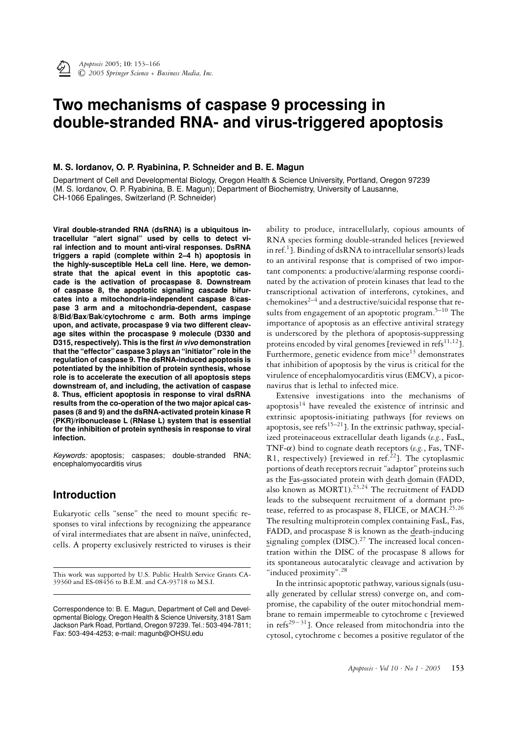# **Two mechanisms of caspase 9 processing in double-stranded RNA- and virus-triggered apoptosis**

#### **M. S. Iordanov, O. P. Ryabinina, P. Schneider and B. E. Magun**

Department of Cell and Developmental Biology, Oregon Health & Science University, Portland, Oregon 97239 (M. S. Iordanov, O. P. Ryabinina, B. E. Magun); Department of Biochemistry, University of Lausanne, CH-1066 Epalinges, Switzerland (P. Schneider)

**Viral double-stranded RNA (dsRNA) is a ubiquitous intracellular "alert signal" used by cells to detect viral infection and to mount anti-viral responses. DsRNA triggers a rapid (complete within 2–4 h) apoptosis in the highly-susceptible HeLa cell line. Here, we demonstrate that the apical event in this apoptotic cascade is the activation of procaspase 8. Downstream of caspase 8, the apoptotic signaling cascade bifurcates into a mitochondria-independent caspase 8/caspase 3 arm and a mitochondria-dependent, caspase 8/Bid/Bax/Bak/cytochrome c arm. Both arms impinge upon, and activate, procaspase 9 via two different cleavage sites within the procaspase 9 molecule (D330 and D315, respectively). This is the first** *in vivo* **demonstration that the "effector" caspase 3 plays an "initiator" role in the regulation of caspase 9. The dsRNA-induced apoptosis is potentiated by the inhibition of protein synthesis, whose role is to accelerate the execution of all apoptosis steps downstream of, and including, the activation of caspase 8. Thus, efficient apoptosis in response to viral dsRNA results from the co-operation of the two major apical caspases (8 and 9) and the dsRNA-activated protein kinase R (PKR)/ribonuclease L (RNase L) system that is essential for the inhibition of protein synthesis in response to viral infection.**

*Keywords:* apoptosis; caspases; double-stranded RNA; encephalomyocarditis virus

# **Introduction**

Eukaryotic cells "sense" the need to mount specific responses to viral infections by recognizing the appearance of viral intermediates that are absent in na¨ıve, uninfected, cells. A property exclusively restricted to viruses is their

ability to produce, intracellularly, copious amounts of RNA species forming double-stranded helices [reviewed in ref.<sup>1</sup>. Binding of dsRNA to intracellular sensor(s) leads to an antiviral response that is comprised of two important components: a productive/alarming response coordinated by the activation of protein kinases that lead to the transcriptional activation of interferons, cytokines, and chemokines<sup> $2-4$ </sup> and a destructive/suicidal response that results from engagement of an apoptotic program.<sup>5-10</sup> The importance of apoptosis as an effective antiviral strategy is underscored by the plethora of apoptosis-suppressing proteins encoded by viral genomes [reviewed in refs $^{11,12}$ ]. Furthermore, genetic evidence from  $mice^{13}$  demonstrates that inhibition of apoptosis by the virus is critical for the virulence of encephalomyocarditis virus (EMCV), a picornavirus that is lethal to infected mice.

Extensive investigations into the mechanisms of apoptosis $14$  have revealed the existence of intrinsic and extrinsic apoptosis-initiating pathways [for reviews on apoptosis, see refs<sup>15–21</sup>]. In the extrinsic pathway, specialized proteinaceous extracellular death ligands (*e.g.*, FasL, TNF-α) bind to cognate death receptors (*e.g.*, Fas, TNF-R1, respectively) [reviewed in ref.<sup>22</sup>]. The cytoplasmic portions of death receptors recruit "adaptor" proteins such as the Fas-associated protein with death domain (FADD, also known as MORT1).<sup>23,24</sup> The recruitment of FADD leads to the subsequent recruitment of a dormant protease, referred to as procaspase 8, FLICE, or MACH.<sup>25,26</sup> The resulting multiprotein complex containing FasL, Fas, FADD, and procaspase 8 is known as the death-inducing signaling complex (DISC).<sup>27</sup> The increased local concentration within the DISC of the procaspase 8 allows for its spontaneous autocatalytic cleavage and activation by "induced proximity".<sup>28</sup>

In the intrinsic apoptotic pathway, various signals (usually generated by cellular stress) converge on, and compromise, the capability of the outer mitochondrial membrane to remain impermeable to cytochrome c [reviewed in refs29−31]. Once released from mitochondria into the cytosol, cytochrome c becomes a positive regulator of the

This work was supported by U.S. Public Health Service Grants CA-39360 and ES-08456 to B.E.M. and CA-93718 to M.S.I.

Correspondence to: B. E. Magun, Department of Cell and Developmental Biology, Oregon Health & Science University, 3181 Sam Jackson Park Road, Portland, Oregon 97239. Tel.: 503-494-7811; Fax: 503-494-4253; e-mail: magunb@OHSU.edu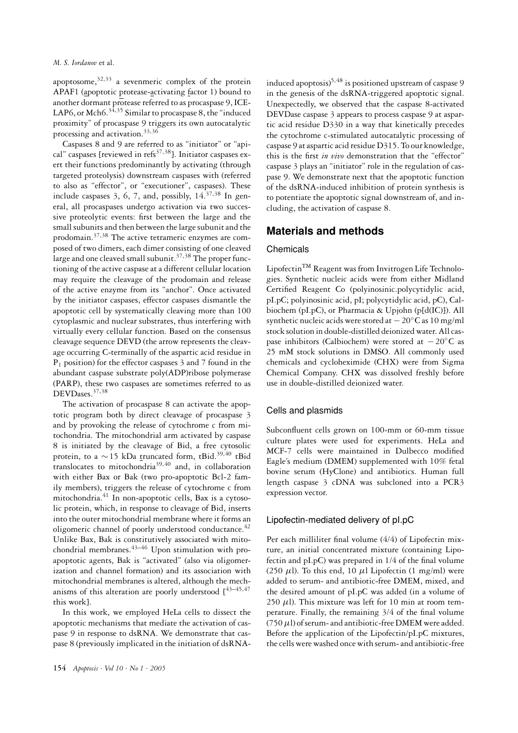#### *M. S. Iordanov* et al.

apoptosome, $32,33$  a sevenmeric complex of the protein APAF1 (apoptotic protease-activating factor 1) bound to another dormant protease referred to as procaspase 9, ICE-LAP6, or Mch6. $34,35$  Similar to procaspase 8, the "induced proximity" of procaspase 9 triggers its own autocatalytic processing and activation.<sup>33,36</sup>

Caspases 8 and 9 are referred to as "initiator" or "apical" caspases [reviewed in refs<sup>37,38</sup>]. Initiator caspases exert their functions predominantly by activating (through targeted proteolysis) downstream caspases with (referred to also as "effector", or "executioner", caspases). These include caspases  $3, 6, 7,$  and, possibly,  $14.^{37,38}$  In general, all procaspases undergo activation via two successive proteolytic events: first between the large and the small subunits and then between the large subunit and the prodomain.<sup>37</sup>,<sup>38</sup> The active tetrameric enzymes are composed of two dimers, each dimer consisting of one cleaved large and one cleaved small subunit.<sup>37,38</sup> The proper functioning of the active caspase at a different cellular location may require the cleavage of the prodomain and release of the active enzyme from its "anchor". Once activated by the initiator caspases, effector caspases dismantle the apoptotic cell by systematically cleaving more than 100 cytoplasmic and nuclear substrates, thus interfering with virtually every cellular function. Based on the consensus cleavage sequence DEVD (the arrow represents the cleavage occurring C-terminally of the aspartic acid residue in  $P_1$  position) for the effector caspases 3 and 7 found in the abundant caspase substrate poly(ADP)ribose polymerase (PARP), these two caspases are sometimes referred to as DEVDases.<sup>37,38</sup>

The activation of procaspase 8 can activate the apoptotic program both by direct cleavage of procaspase 3 and by provoking the release of cytochrome c from mitochondria. The mitochondrial arm activated by caspase 8 is initiated by the cleavage of Bid, a free cytosolic protein, to a ~15 kDa truncated form, tBid.<sup>39,40</sup> tBid translocates to mitochondria39,<sup>40</sup> and, in collaboration with either Bax or Bak (two pro-apoptotic Bcl-2 family members), triggers the release of cytochrome c from mitochondria.<sup>41</sup> In non-apoptotic cells, Bax is a cytosolic protein, which, in response to cleavage of Bid, inserts into the outer mitochondrial membrane where it forms an oligomeric channel of poorly understood conductance.<sup>42</sup> Unlike Bax, Bak is constitutively associated with mitochondrial membranes. $43-46$  Upon stimulation with proapoptotic agents, Bak is "activated" (also via oligomerization and channel formation) and its association with mitochondrial membranes is altered, although the mechanisms of this alteration are poorly understood  $[43-45, 47]$ this work].

In this work, we employed HeLa cells to dissect the apoptotic mechanisms that mediate the activation of caspase 9 in response to dsRNA. We demonstrate that caspase 8 (previously implicated in the initiation of dsRNA-

induced apoptosis)<sup>5,48</sup> is positioned upstream of caspase 9 in the genesis of the dsRNA-triggered apoptotic signal. Unexpectedly, we observed that the caspase 8-activated DEVDase caspase 3 appears to process caspase 9 at aspartic acid residue D330 in a way that kinetically precedes the cytochrome c-stimulated autocatalytic processing of caspase 9 at aspartic acid residue D315. To our knowledge, this is the first *in vivo* demonstration that the "effector" caspase 3 plays an "initiator" role in the regulation of caspase 9. We demonstrate next that the apoptotic function of the dsRNA-induced inhibition of protein synthesis is to potentiate the apoptotic signal downstream of, and including, the activation of caspase 8.

# **Materials and methods**

#### **Chemicals**

Lipofectin<sup>TM</sup> Reagent was from Invitrogen Life Technologies. Synthetic nucleic acids were from either Midland Certified Reagent Co (polyinosinic.polycytidylic acid, pI.pC; polyinosinic acid, pI; polycytidylic acid, pC), Calbiochem (pI.pC), or Pharmacia & Upjohn (p[d(IC)]). All synthetic nucleic acids were stored at  $-20°C$  as 10 mg/ml stock solution in double-distilled deionized water. All caspase inhibitors (Calbiochem) were stored at  $-20°C$  as 25 mM stock solutions in DMSO. All commonly used chemicals and cycloheximide (CHX) were from Sigma Chemical Company. CHX was dissolved freshly before use in double-distilled deionized water.

#### Cells and plasmids

Subconfluent cells grown on 100-mm or 60-mm tissue culture plates were used for experiments. HeLa and MCF-7 cells were maintained in Dulbecco modified Eagle's medium (DMEM) supplemented with 10% fetal bovine serum (HyClone) and antibiotics. Human full length caspase 3 cDNA was subcloned into a PCR3 expression vector.

#### Lipofectin-mediated delivery of pI.pC

Per each milliliter final volume (4/4) of Lipofectin mixture, an initial concentrated mixture (containing Lipofectin and pI.pC) was prepared in 1/4 of the final volume (250  $\mu$ l). To this end, 10  $\mu$ l Lipofectin (1 mg/ml) were added to serum- and antibiotic-free DMEM, mixed, and the desired amount of pI.pC was added (in a volume of 250  $\mu$ l). This mixture was left for 10 min at room temperature. Finally, the remaining 3/4 of the final volume (750 $\mu$ l) of serum- and antibiotic-free DMEM were added. Before the application of the Lipofectin/pI.pC mixtures, the cells were washed once with serum- and antibiotic-free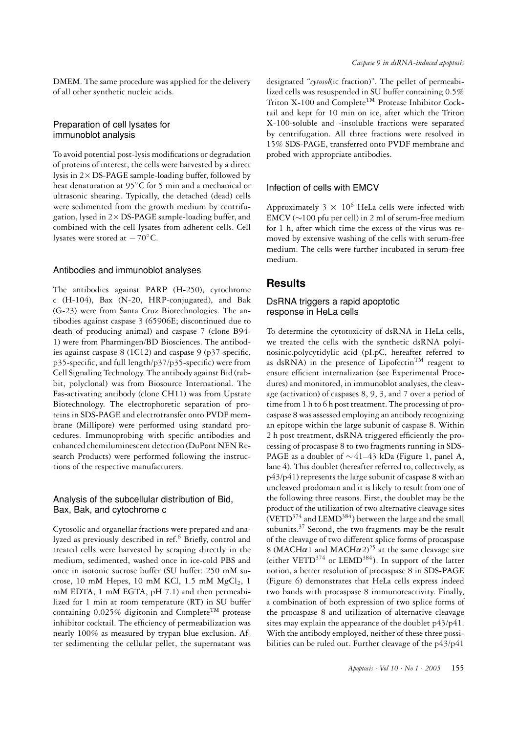DMEM. The same procedure was applied for the delivery of all other synthetic nucleic acids.

#### Preparation of cell lysates for immunoblot analysis

To avoid potential post-lysis modifications or degradation of proteins of interest, the cells were harvested by a direct lysis in  $2 \times DS-PAGE$  sample-loading buffer, followed by heat denaturation at 95◦C for 5 min and a mechanical or ultrasonic shearing. Typically, the detached (dead) cells were sedimented from the growth medium by centrifugation, lysed in  $2 \times DS-PAGE$  sample-loading buffer, and combined with the cell lysates from adherent cells. Cell lysates were stored at  $-70^{\circ}$ C.

#### Antibodies and immunoblot analyses

The antibodies against PARP (H-250), cytochrome c (H-104), Bax (N-20, HRP-conjugated), and Bak (G-23) were from Santa Cruz Biotechnologies. The antibodies against caspase 3 (65906E; discontinued due to death of producing animal) and caspase 7 (clone B94- 1) were from Pharmingen/BD Biosciences. The antibodies against caspase 8 (1C12) and caspase 9 (p37-specific, p35-specific, and full length/p37/p35-specific) were from Cell Signaling Technology. The antibody against Bid (rabbit, polyclonal) was from Biosource International. The Fas-activating antibody (clone CH11) was from Upstate Biotechnology. The electrophoretic separation of proteins in SDS-PAGE and electrotransfer onto PVDF membrane (Millipore) were performed using standard procedures. Immunoprobing with specific antibodies and enhanced chemiluminescent detection (DuPont NEN Research Products) were performed following the instructions of the respective manufacturers.

#### Analysis of the subcellular distribution of Bid, Bax, Bak, and cytochrome c

Cytosolic and organellar fractions were prepared and analyzed as previously described in ref.<sup>6</sup> Briefly, control and treated cells were harvested by scraping directly in the medium, sedimented, washed once in ice-cold PBS and once in isotonic sucrose buffer (SU buffer: 250 mM sucrose, 10 mM Hepes, 10 mM KCl, 1.5 mM  $MgCl<sub>2</sub>$ , 1 mM EDTA, 1 mM EGTA, pH 7.1) and then permeabilized for 1 min at room temperature (RT) in SU buffer containing  $0.025\%$  digitonin and Complete<sup>TM</sup> protease inhibitor cocktail. The efficiency of permeabilization was nearly 100% as measured by trypan blue exclusion. After sedimenting the cellular pellet, the supernatant was designated "*cytosol*(ic fraction)". The pellet of permeabilized cells was resuspended in SU buffer containing 0.5% Triton X-100 and Complete<sup>TM</sup> Protease Inhibitor Cocktail and kept for 10 min on ice, after which the Triton X-100-soluble and -insoluble fractions were separated by centrifugation. All three fractions were resolved in 15% SDS-PAGE, transferred onto PVDF membrane and probed with appropriate antibodies.

#### Infection of cells with EMCV

Approximately  $3 \times 10^6$  HeLa cells were infected with EMCV (∼100 pfu per cell) in 2 ml of serum-free medium for 1 h, after which time the excess of the virus was removed by extensive washing of the cells with serum-free medium. The cells were further incubated in serum-free medium.

# **Results**

#### DsRNA triggers a rapid apoptotic response in HeLa cells

To determine the cytotoxicity of dsRNA in HeLa cells, we treated the cells with the synthetic dsRNA polyinosinic.polycytidylic acid (pI.pC, hereafter referred to as dsRNA) in the presence of Lipofectin<sup>TM</sup> reagent to ensure efficient internalization (see Experimental Procedures) and monitored, in immunoblot analyses, the cleavage (activation) of caspases 8, 9, 3, and 7 over a period of time from 1 h to 6 h post treatment. The processing of procaspase 8 was assessed employing an antibody recognizing an epitope within the large subunit of caspase 8. Within 2 h post treatment, dsRNA triggered efficiently the processing of procaspase 8 to two fragments running in SDS-PAGE as a doublet of ∼41–43 kDa (Figure 1, panel A, lane 4). This doublet (hereafter referred to, collectively, as p43/p41) represents the large subunit of caspase 8 with an uncleaved prodomain and it is likely to result from one of the following three reasons. First, the doublet may be the product of the utilization of two alternative cleavage sites  $(VETD<sup>374</sup>$  and  $LEMD<sup>384</sup>)$  between the large and the small subunits.<sup>37</sup> Second, the two fragments may be the result of the cleavage of two different splice forms of procaspase 8 (MACH $\alpha$ 1 and MACH $\alpha$ 2)<sup>25</sup> at the same cleavage site (either VETD<sup>374</sup> or LEMD<sup>384</sup>). In support of the latter notion, a better resolution of procaspase 8 in SDS-PAGE (Figure 6) demonstrates that HeLa cells express indeed two bands with procaspase 8 immunoreactivity. Finally, a combination of both expression of two splice forms of the procaspase 8 and utilization of alternative cleavage sites may explain the appearance of the doublet p43/p41. With the antibody employed, neither of these three possibilities can be ruled out. Further cleavage of the p43/p41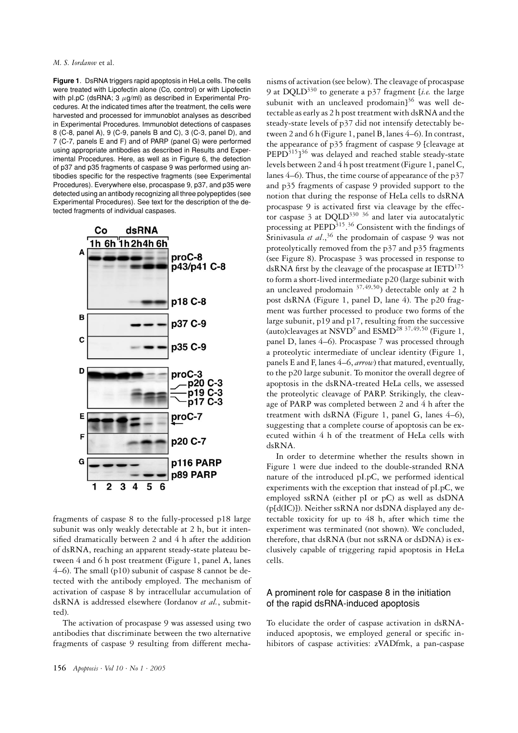**Figure 1**. DsRNA triggers rapid apoptosis in HeLa cells. The cells were treated with Lipofectin alone (Co, control) or with Lipofectin with pl.pC (dsRNA; 3  $\mu$ g/ml) as described in Experimental Procedures. At the indicated times after the treatment, the cells were harvested and processed for immunoblot analyses as described in Experimental Procedures. Immunoblot detections of caspases 8 (C-8, panel A), 9 (C-9, panels B and C), 3 (C-3, panel D), and 7 (C-7, panels E and F) and of PARP (panel G) were performed using appropriate antibodies as described in Results and Experimental Procedures. Here, as well as in Figure 6, the detection of p37 and p35 fragments of caspase 9 was performed using antibodies specific for the respective fragments (see Experimental Procedures). Everywhere else, procaspase 9, p37, and p35 were detected using an antibody recognizing all three polypeptides (see Experimental Procedures). See text for the description of the detected fragments of individual caspases.



fragments of caspase 8 to the fully-processed p18 large subunit was only weakly detectable at 2 h, but it intensified dramatically between 2 and 4 h after the addition of dsRNA, reaching an apparent steady-state plateau between 4 and 6 h post treatment (Figure 1, panel A, lanes 4–6). The small (p10) subunit of caspase 8 cannot be detected with the antibody employed. The mechanism of activation of caspase 8 by intracellular accumulation of dsRNA is addressed elsewhere (Iordanov *et al.*, submitted).

The activation of procaspase 9 was assessed using two antibodies that discriminate between the two alternative fragments of caspase 9 resulting from different mechanisms of activation (see below). The cleavage of procaspase 9 at DQLD330 to generate a p37 fragment [*i.e.* the large subunit with an uncleaved prodomain $1^{36}$  was well detectable as early as 2 h post treatment with dsRNA and the steady-state levels of p37 did not intensify detectably between 2 and 6 h (Figure 1, panel B, lanes 4–6). In contrast, the appearance of p35 fragment of caspase 9 [cleavage at  $\mathrm{PEPD}^{315}$ ]<sup>36</sup> was delayed and reached stable steady-state levels between 2 and 4 h post treatment (Figure 1, panel C, lanes 4–6). Thus, the time course of appearance of the p37 and p35 fragments of caspase 9 provided support to the notion that during the response of HeLa cells to dsRNA procaspase 9 is activated first via cleavage by the effector caspase  $\overline{3}$  at DQLD<sup>330 36</sup> and later via autocatalytic processing at PEPD<sup>315</sup>.<sup>36</sup> Consistent with the findings of Srinivasula *et al.*,<sup>36</sup> the prodomain of caspase 9 was not proteolytically removed from the p37 and p35 fragments (see Figure 8). Procaspase 3 was processed in response to dsRNA first by the cleavage of the procaspase at IETD<sup>175</sup> to form a short-lived intermediate p20 (large subinit with an uncleaved prodomain  $37,49,50$ ) detectable only at 2 h post dsRNA (Figure 1, panel D, lane 4). The p20 fragment was further processed to produce two forms of the large subunit, p19 and p17, resulting from the successive (auto)cleavages at NSVD<sup>9</sup> and ESMD<sup>28 37,49,50</sup> (Figure 1, panel D, lanes 4–6). Procaspase 7 was processed through a proteolytic intermediate of unclear identity (Figure 1, panels E and F, lanes 4–6, *arrow*) that matured, eventually, to the p20 large subunit. To monitor the overall degree of apoptosis in the dsRNA-treated HeLa cells, we assessed the proteolytic cleavage of PARP. Strikingly, the cleavage of PARP was completed between 2 and 4 h after the treatment with dsRNA (Figure 1, panel G, lanes 4–6), suggesting that a complete course of apoptosis can be executed within 4 h of the treatment of HeLa cells with dsRNA.

In order to determine whether the results shown in Figure 1 were due indeed to the double-stranded RNA nature of the introduced pI.pC, we performed identical experiments with the exception that instead of pI.pC, we employed ssRNA (either pI or pC) as well as dsDNA (p[d(IC)]). Neither ssRNA nor dsDNA displayed any detectable toxicity for up to 48 h, after which time the experiment was terminated (not shown). We concluded, therefore, that dsRNA (but not ssRNA or dsDNA) is exclusively capable of triggering rapid apoptosis in HeLa cells.

#### A prominent role for caspase 8 in the initiation of the rapid dsRNA-induced apoptosis

To elucidate the order of caspase activation in dsRNAinduced apoptosis, we employed general or specific inhibitors of caspase activities: zVADfmk, a pan-caspase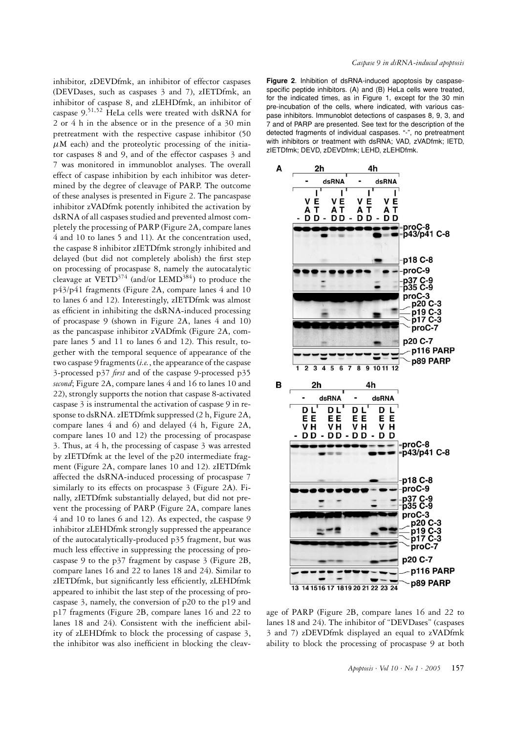inhibitor, zDEVDfmk, an inhibitor of effector caspases (DEVDases, such as caspases 3 and 7), zIETDfmk, an inhibitor of caspase 8, and zLEHDfmk, an inhibitor of caspase 9.<sup>51</sup>,<sup>52</sup> HeLa cells were treated with dsRNA for 2 or 4 h in the absence or in the presence of a 30 min pretreatment with the respective caspase inhibitor (50  $\mu$ M each) and the proteolytic processing of the initiator caspases 8 and 9, and of the effector caspases 3 and 7 was monitored in immunoblot analyses. The overall effect of caspase inhibition by each inhibitor was determined by the degree of cleavage of PARP. The outcome of these analyses is presented in Figure 2. The pancaspase inhibitor zVADfmk potently inhibited the activation by dsRNA of all caspases studied and prevented almost completely the processing of PARP (Figure 2A, compare lanes 4 and 10 to lanes 5 and 11). At the concentration used, the caspase 8 inhibitor zIETDfmk strongly inhibited and delayed (but did not completely abolish) the first step on processing of procaspase 8, namely the autocatalytic cleavage at VETD<sup>374</sup> (and/or LEMD<sup>384</sup>) to produce the p43/p41 fragments (Figure 2A, compare lanes 4 and 10 to lanes 6 and 12). Interestingly, zIETDfmk was almost as efficient in inhibiting the dsRNA-induced processing of procaspase 9 (shown in Figure 2A, lanes 4 and 10) as the pancaspase inhibitor zVADfmk (Figure 2A, compare lanes 5 and 11 to lanes 6 and 12). This result, together with the temporal sequence of appearance of the two caspase 9 fragments (*i.e.*, the appearance of the caspase 3-processed p37 *first* and of the caspase 9-processed p35 *second*; Figure 2A, compare lanes 4 and 16 to lanes 10 and 22), strongly supports the notion that caspase 8-activated caspase 3 is instrumental the activation of caspase 9 in response to dsRNA. zIETDfmk suppressed (2 h, Figure 2A, compare lanes 4 and 6) and delayed (4 h, Figure 2A, compare lanes 10 and 12) the processing of procaspase 3. Thus, at 4 h, the processing of caspase 3 was arrested by zIETDfmk at the level of the p20 intermediate fragment (Figure 2A, compare lanes 10 and 12). zIETDfmk affected the dsRNA-induced processing of procaspase 7 similarly to its effects on procaspase 3 (Figure 2A). Finally, zIETDfmk substantially delayed, but did not prevent the processing of PARP (Figure 2A, compare lanes 4 and 10 to lanes 6 and 12). As expected, the caspase 9 inhibitor zLEHDfmk strongly suppressed the appearance of the autocatalytically-produced p35 fragment, but was much less effective in suppressing the processing of procaspase 9 to the p37 fragment by caspase 3 (Figure 2B, compare lanes 16 and 22 to lanes 18 and 24). Similar to zIETDfmk, but significantly less efficiently, zLEHDfmk appeared to inhibit the last step of the processing of procaspase 3, namely, the conversion of p20 to the p19 and p17 fragments (Figure 2B, compare lanes 16 and 22 to lanes 18 and 24). Consistent with the inefficient ability of zLEHDfmk to block the processing of caspase 3, the inhibitor was also inefficient in blocking the cleav**Figure 2**. Inhibition of dsRNA-induced apoptosis by caspasespecific peptide inhibitors. (A) and (B) HeLa cells were treated, for the indicated times, as in Figure 1, except for the 30 min pre-incubation of the cells, where indicated, with various caspase inhibitors. Immunoblot detections of caspases 8, 9, 3, and 7 and of PARP are presented. See text for the description of the detected fragments of individual caspases. "-", no pretreatment with inhibitors or treatment with dsRNA; VAD, zVADfmk; IETD, zIETDfmk; DEVD, zDEVDfmk; LEHD, zLEHDfmk.



age of PARP (Figure 2B, compare lanes 16 and 22 to lanes 18 and 24). The inhibitor of "DEVDases" (caspases 3 and 7) zDEVDfmk displayed an equal to zVADfmk ability to block the processing of procaspase 9 at both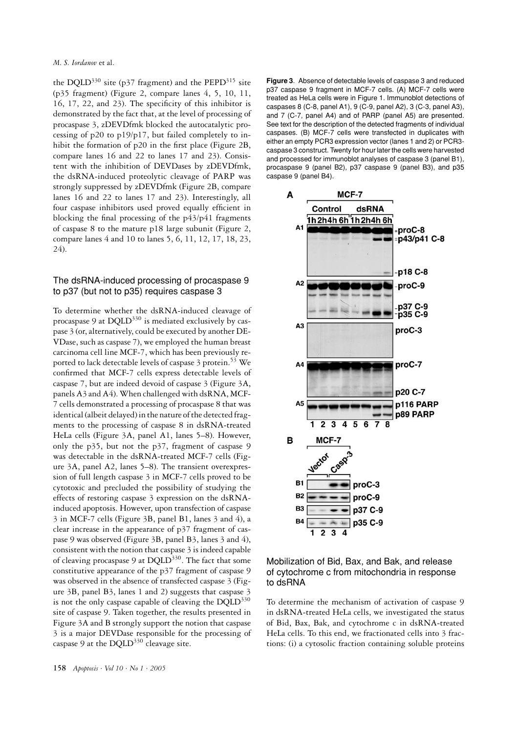the DQLD<sup>330</sup> site (p37 fragment) and the PEPD<sup>315</sup> site (p35 fragment) (Figure 2, compare lanes 4, 5, 10, 11, 16, 17, 22, and 23). The specificity of this inhibitor is demonstrated by the fact that, at the level of processing of procaspase 3, zDEVDfmk blocked the autocatalytic processing of p20 to p19/p17, but failed completely to inhibit the formation of p20 in the first place (Figure 2B, compare lanes 16 and 22 to lanes 17 and 23). Consistent with the inhibition of DEVDases by zDEVDfmk, the dsRNA-induced proteolytic cleavage of PARP was strongly suppressed by zDEVDfmk (Figure 2B, compare lanes 16 and 22 to lanes 17 and 23). Interestingly, all four caspase inhibitors used proved equally efficient in blocking the final processing of the p43/p41 fragments of caspase 8 to the mature p18 large subunit (Figure 2, compare lanes 4 and 10 to lanes 5, 6, 11, 12, 17, 18, 23, 24).

### The dsRNA-induced processing of procaspase 9 to p37 (but not to p35) requires caspase 3

To determine whether the dsRNA-induced cleavage of procaspase 9 at  $DQLD^{330}$  is mediated exclusively by caspase 3 (or, alternatively, could be executed by another DE-VDase, such as caspase 7), we employed the human breast carcinoma cell line MCF-7, which has been previously reported to lack detectable levels of caspase 3 protein.<sup>53</sup> We confirmed that MCF-7 cells express detectable levels of caspase 7, but are indeed devoid of caspase 3 (Figure 3A, panels A3 and A4). When challenged with dsRNA, MCF-7 cells demonstrated a processing of procaspase 8 that was identical (albeit delayed) in the nature of the detected fragments to the processing of caspase 8 in dsRNA-treated HeLa cells (Figure 3A, panel A1, lanes 5–8). However, only the p35, but not the p37, fragment of caspase 9 was detectable in the dsRNA-treated MCF-7 cells (Figure 3A, panel A2, lanes 5–8). The transient overexpression of full length caspase 3 in MCF-7 cells proved to be cytotoxic and precluded the possibility of studying the effects of restoring caspase 3 expression on the dsRNAinduced apoptosis. However, upon transfection of caspase 3 in MCF-7 cells (Figure 3B, panel B1, lanes 3 and 4), a clear increase in the appearance of p37 fragment of caspase 9 was observed (Figure 3B, panel B3, lanes 3 and 4), consistent with the notion that caspase 3 is indeed capable of cleaving procaspase 9 at DQLD<sup>330</sup>. The fact that some constitutive appearance of the p37 fragment of caspase 9 was observed in the absence of transfected caspase 3 (Figure 3B, panel B3, lanes 1 and 2) suggests that caspase 3 is not the only caspase capable of cleaving the DQLD<sup>330</sup> site of caspase 9. Taken together, the results presented in Figure 3A and B strongly support the notion that caspase 3 is a major DEVDase responsible for the processing of caspase 9 at the  $DQLD^{330}$  cleavage site.

**Figure 3**. Absence of detectable levels of caspase 3 and reduced p37 caspase 9 fragment in MCF-7 cells. (A) MCF-7 cells were treated as HeLa cells were in Figure 1. Immunoblot detections of caspases 8 (C-8, panel A1), 9 (C-9, panel A2), 3 (C-3, panel A3), and 7 (C-7, panel A4) and of PARP (panel A5) are presented. See text for the description of the detected fragments of individual caspases. (B) MCF-7 cells were transfected in duplicates with either an empty PCR3 expression vector (lanes 1 and 2) or PCR3 caspase 3 construct. Twenty for hour later the cells were harvested and processed for immunoblot analyses of caspase 3 (panel B1), procaspase 9 (panel B2), p37 caspase 9 (panel B3), and p35 caspase 9 (panel B4).





To determine the mechanism of activation of caspase 9 in dsRNA-treated HeLa cells, we investigated the status of Bid, Bax, Bak, and cytochrome c in dsRNA-treated HeLa cells. To this end, we fractionated cells into 3 fractions: (i) a cytosolic fraction containing soluble proteins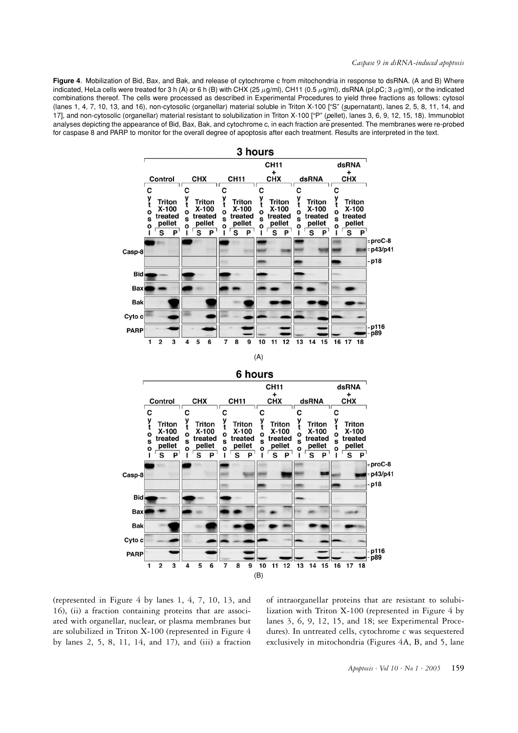**Figure 4**. Mobilization of Bid, Bax, and Bak, and release of cytochrome c from mitochondria in response to dsRNA. (A and B) Where indicated, HeLa cells were treated for 3 h (A) or 6 h (B) with CHX (25  $\mu$ g/ml), CH11 (0.5  $\mu$ g/ml), dsRNA (pl.pC; 3  $\mu$ g/ml), or the indicated combinations thereof. The cells were processed as described in Experimental Procedures to yield three fractions as follows: cytosol (lanes 1, 4, 7, 10, 13, and 16), non-cytosolic (organellar) material soluble in Triton X-100 ["S" (*s*upernatant), lanes 2, 5, 8, 11, 14, and 17], and non-cytosolic (organellar) material resistant to solubilization in Triton X-100 ["P" (*p*ellet), lanes 3, 6, 9, 12, 15, 18). Immunoblot analyses depicting the appearance of Bid, Bax, Bak, and cytochrome c, in each fraction are presented. The membranes were re-probed for caspase 8 and PARP to monitor for the overall degree of apoptosis after each treatment. Results are interpreted in the text.



(represented in Figure 4 by lanes 1, 4, 7, 10, 13, and 16), (ii) a fraction containing proteins that are associated with organellar, nuclear, or plasma membranes but are solubilized in Triton X-100 (represented in Figure 4 by lanes 2, 5, 8, 11, 14, and 17), and (iii) a fraction of intraorganellar proteins that are resistant to solubilization with Triton X-100 (represented in Figure 4 by lanes 3, 6, 9, 12, 15, and 18; see Experimental Procedures). In untreated cells, cytochrome c was sequestered exclusively in mitochondria (Figures 4A, B, and 5, lane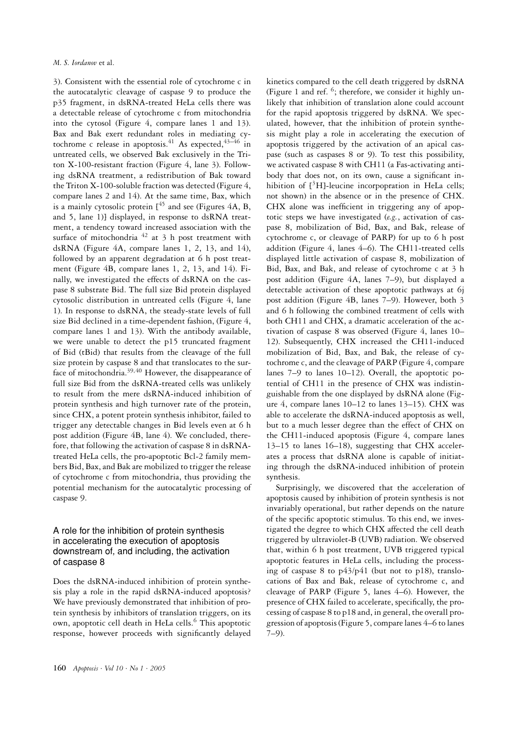3). Consistent with the essential role of cytochrome c in the autocatalytic cleavage of caspase 9 to produce the p35 fragment, in dsRNA-treated HeLa cells there was a detectable release of cytochrome c from mitochondria into the cytosol (Figure 4, compare lanes 1 and 13). Bax and Bak exert redundant roles in mediating cytochrome c release in apoptosis.<sup>41</sup> As expected,  $43-46$  in untreated cells, we observed Bak exclusively in the Triton X-100-resistant fraction (Figure 4, lane 3). Following dsRNA treatment, a redistribution of Bak toward the Triton X-100-soluble fraction was detected (Figure 4, compare lanes 2 and 14). At the same time, Bax, which is a mainly cytosolic protein  $[45]$  and see (Figures 4A, B, and 5, lane 1)] displayed, in response to dsRNA treatment, a tendency toward increased association with the surface of mitochondria  $42$  at 3 h post treatment with dsRNA (Figure 4A, compare lanes 1, 2, 13, and 14), followed by an apparent degradation at 6 h post treatment (Figure 4B, compare lanes 1, 2, 13, and 14). Finally, we investigated the effects of dsRNA on the caspase 8 substrate Bid. The full size Bid protein displayed cytosolic distribution in untreated cells (Figure 4, lane 1). In response to dsRNA, the steady-state levels of full size Bid declined in a time-dependent fashion, (Figure 4, compare lanes 1 and 13). With the antibody available, we were unable to detect the p15 truncated fragment of Bid (tBid) that results from the cleavage of the full size protein by caspase 8 and that translocates to the surface of mitochondria.<sup>39,40</sup> However, the disappearance of full size Bid from the dsRNA-treated cells was unlikely to result from the mere dsRNA-induced inhibition of protein synthesis and high turnover rate of the protein, since CHX, a potent protein synthesis inhibitor, failed to trigger any detectable changes in Bid levels even at 6 h post addition (Figure 4B, lane 4). We concluded, therefore, that following the activation of caspase 8 in dsRNAtreated HeLa cells, the pro-apoptotic Bcl-2 family members Bid, Bax, and Bak are mobilized to trigger the release of cytochrome c from mitochondria, thus providing the potential mechanism for the autocatalytic processing of caspase 9.

### A role for the inhibition of protein synthesis in accelerating the execution of apoptosis downstream of, and including, the activation of caspase 8

Does the dsRNA-induced inhibition of protein synthesis play a role in the rapid dsRNA-induced apoptosis? We have previously demonstrated that inhibition of protein synthesis by inhibitors of translation triggers, on its own, apoptotic cell death in HeLa cells.<sup>6</sup> This apoptotic response, however proceeds with significantly delayed kinetics compared to the cell death triggered by dsRNA (Figure 1 and ref. 6; therefore, we consider it highly unlikely that inhibition of translation alone could account for the rapid apoptosis triggered by dsRNA. We speculated, however, that the inhibition of protein synthesis might play a role in accelerating the execution of apoptosis triggered by the activation of an apical caspase (such as caspases 8 or 9). To test this possibility, we activated caspase 8 with CH11 (a Fas-activating antibody that does not, on its own, cause a significant inhibition of  $[^{3}H]$ -leucine incorpopration in HeLa cells; not shown) in the absence or in the presence of CHX. CHX alone was inefficient in triggering any of apoptotic steps we have investigated (*e.g.*, activation of caspase 8, mobilization of Bid, Bax, and Bak, release of cytochrome c, or cleavage of PARP) for up to 6 h post addition (Figure 4, lanes 4–6). The CH11-treated cells displayed little activation of caspase 8, mobilization of Bid, Bax, and Bak, and release of cytochrome c at 3 h post addition (Figure 4A, lanes 7–9), but displayed a detectable activation of these apoptotic pathways at 6j post addition (Figure 4B, lanes 7–9). However, both 3 and 6 h following the combined treatment of cells with both CH11 and CHX, a dramatic acceleration of the activation of caspase 8 was observed (Figure 4, lanes 10– 12). Subsequently, CHX increased the CH11-induced mobilization of Bid, Bax, and Bak, the release of cytochrome c, and the cleavage of PARP (Figure 4, compare lanes 7–9 to lanes 10–12). Overall, the apoptotic potential of CH11 in the presence of CHX was indistinguishable from the one displayed by dsRNA alone (Figure 4, compare lanes 10–12 to lanes 13–15). CHX was able to accelerate the dsRNA-induced apoptosis as well, but to a much lesser degree than the effect of CHX on the CH11-induced apoptosis (Figure 4, compare lanes 13–15 to lanes 16–18), suggesting that CHX accelerates a process that dsRNA alone is capable of initiating through the dsRNA-induced inhibition of protein synthesis.

Surprisingly, we discovered that the acceleration of apoptosis caused by inhibition of protein synthesis is not invariably operational, but rather depends on the nature of the specific apoptotic stimulus. To this end, we investigated the degree to which CHX affected the cell death triggered by ultraviolet-B (UVB) radiation. We observed that, within 6 h post treatment, UVB triggered typical apoptotic features in HeLa cells, including the processing of caspase 8 to  $p43/p41$  (but not to p18), translocations of Bax and Bak, release of cytochrome c, and cleavage of PARP (Figure 5, lanes 4–6). However, the presence of CHX failed to accelerate, specifically, the processing of caspase 8 to p18 and, in general, the overall progression of apoptosis (Figure 5, compare lanes 4–6 to lanes 7–9).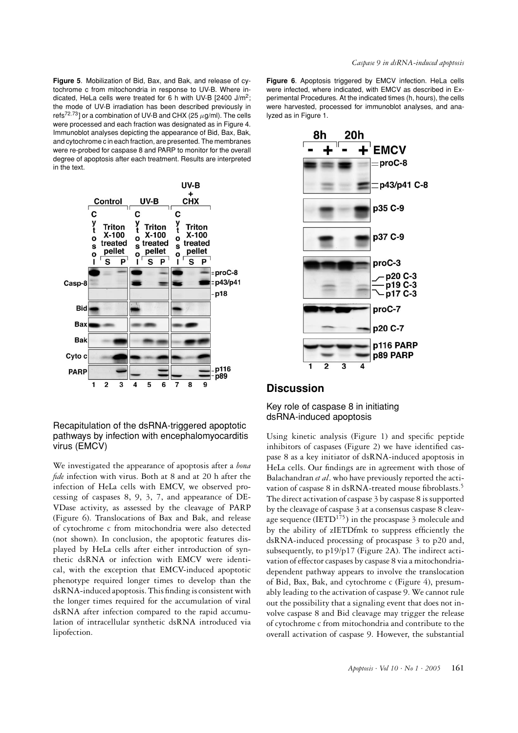**Figure 5**. Mobilization of Bid, Bax, and Bak, and release of cytochrome c from mitochondria in response to UV-B. Where indicated, HeLa cells were treated for 6 h with UV-B  $[2400 \text{ J/m}^2]$ ; the mode of UV-B irradiation has been described previously in refs<sup>72,73</sup>] or a combination of UV-B and CHX (25  $\mu$ g/ml). The cells were processed and each fraction was designated as in Figure 4. Immunoblot analyses depicting the appearance of Bid, Bax, Bak, and cytochrome c in each fraction, are presented. The membranes were re-probed for caspase 8 and PARP to monitor for the overall degree of apoptosis after each treatment. Results are interpreted in the text.



# Recapitulation of the dsRNA-triggered apoptotic pathways by infection with encephalomyocarditis virus (EMCV)

We investigated the appearance of apoptosis after a *bona fide* infection with virus. Both at 8 and at 20 h after the infection of HeLa cells with EMCV, we observed processing of caspases 8, 9, 3, 7, and appearance of DE-VDase activity, as assessed by the cleavage of PARP (Figure 6). Translocations of Bax and Bak, and release of cytochrome c from mitochondria were also detected (not shown). In conclusion, the apoptotic features displayed by HeLa cells after either introduction of synthetic dsRNA or infection with EMCV were identical, with the exception that EMCV-induced apoptotic phenotype required longer times to develop than the dsRNA-induced apoptosis. This finding is consistent with the longer times required for the accumulation of viral dsRNA after infection compared to the rapid accumulation of intracellular synthetic dsRNA introduced via lipofection.





#### **Discussion**

#### Key role of caspase 8 in initiating dsRNA-induced apoptosis

Using kinetic analysis (Figure 1) and specific peptide inhibitors of caspases (Figure 2) we have identified caspase 8 as a key initiator of dsRNA-induced apoptosis in HeLa cells. Our findings are in agreement with those of Balachandran *et al*. who have previously reported the activation of caspase 8 in dsRNA-treated mouse fibroblasts.<sup>5</sup> The direct activation of caspase 3 by caspase 8 is supported by the cleavage of caspase 3 at a consensus caspase 8 cleavage sequence  $(\mathrm{IETD}^{175})$  in the procaspase 3 molecule and by the ability of zIETDfmk to suppress efficiently the dsRNA-induced processing of procaspase 3 to p20 and, subsequently, to p19/p17 (Figure 2A). The indirect activation of effector caspases by caspase 8 via a mitochondriadependent pathway appears to involve the translocation of Bid, Bax, Bak, and cytochrome c (Figure 4), presumably leading to the activation of caspase 9. We cannot rule out the possibility that a signaling event that does not involve caspase 8 and Bid cleavage may trigger the release of cytochrome c from mitochondria and contribute to the overall activation of caspase 9. However, the substantial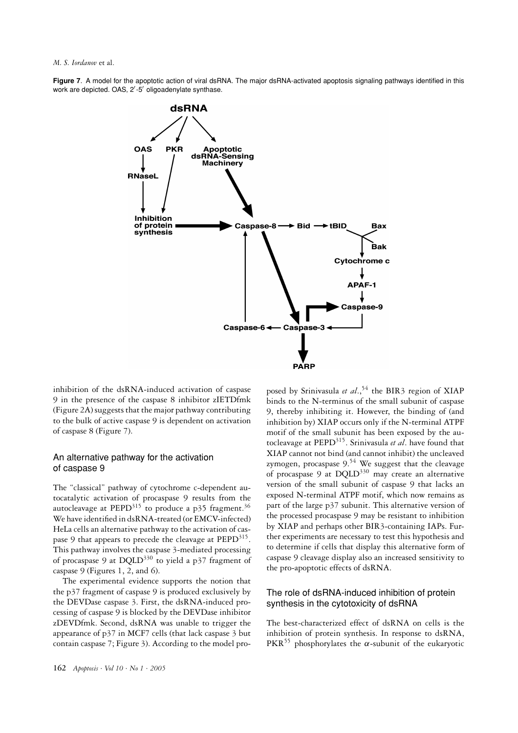*M. S. Iordanov* et al.

**Figure 7**. A model for the apoptotic action of viral dsRNA. The major dsRNA-activated apoptosis signaling pathways identified in this work are depicted. OAS, 2'-5' oligoadenylate synthase.



inhibition of the dsRNA-induced activation of caspase 9 in the presence of the caspase 8 inhibitor zIETDfmk (Figure 2A) suggests that the major pathway contributing to the bulk of active caspase 9 is dependent on activation of caspase 8 (Figure 7).

#### An alternative pathway for the activation of caspase 9

The "classical" pathway of cytochrome c-dependent autocatalytic activation of procaspase 9 results from the autocleavage at  $PEPD<sup>315</sup>$  to produce a p35 fragment.<sup>36</sup> We have identified in dsRNA-treated (or EMCV-infected) HeLa cells an alternative pathway to the activation of caspase 9 that appears to precede the cleavage at  $PEPD<sup>315</sup>$ . This pathway involves the caspase 3-mediated processing of procaspase 9 at DQLD<sup>330</sup> to yield a p37 fragment of caspase 9 (Figures 1, 2, and 6).

The experimental evidence supports the notion that the p37 fragment of caspase 9 is produced exclusively by the DEVDase caspase 3. First, the dsRNA-induced processing of caspase 9 is blocked by the DEVDase inhibitor zDEVDfmk. Second, dsRNA was unable to trigger the appearance of p37 in MCF7 cells (that lack caspase 3 but contain caspase 7; Figure 3). According to the model pro-

exposed N-terminal ATPF motif, which now remains as part of the large p37 subunit. This alternative version of the processed procaspase 9 may be resistant to inhibition by XIAP and perhaps other BIR3-containing IAPs. Further experiments are necessary to test this hypothesis and to determine if cells that display this alternative form of caspase 9 cleavage display also an increased sensitivity to the pro-apoptotic effects of dsRNA. The role of dsRNA-induced inhibition of protein synthesis in the cytotoxicity of dsRNA

> The best-characterized effect of dsRNA on cells is the inhibition of protein synthesis. In response to dsRNA, PKR<sup>55</sup> phosphorylates the  $\alpha$ -subunit of the eukaryotic

> posed by Srinivasula *et al.*,<sup>54</sup> the BIR3 region of XIAP binds to the N-terminus of the small subunit of caspase 9, thereby inhibiting it. However, the binding of (and inhibition by) XIAP occurs only if the N-terminal ATPF motif of the small subunit has been exposed by the autocleavage at PEPD315. Srinivasula *et al*. have found that XIAP cannot not bind (and cannot inhibit) the uncleaved zymogen, procaspase  $9.54$  We suggest that the cleavage of procaspase 9 at  $DOLD^{330}$  may create an alternative version of the small subunit of caspase 9 that lacks an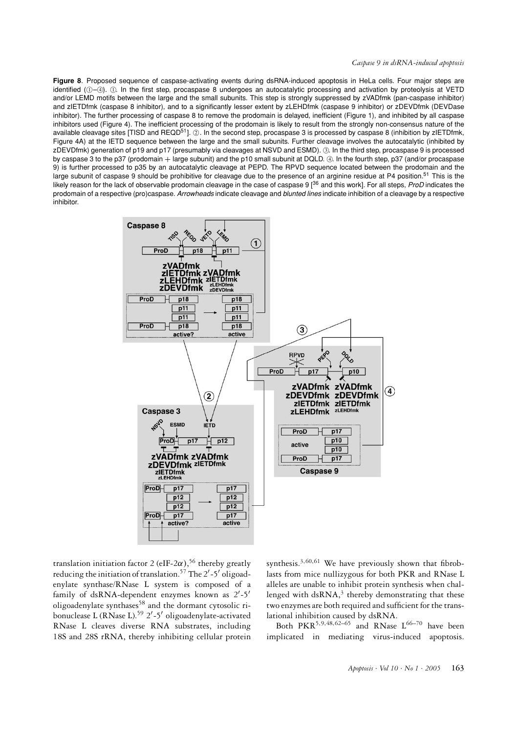#### *Caspase 9 in dsRNA-induced apoptosis*

**Figure 8**. Proposed sequence of caspase-activating events during dsRNA-induced apoptosis in HeLa cells. Four major steps are identified ( $0$ -4).  $0$ . In the first step, procaspase 8 undergoes an autocatalytic processing and activation by proteolysis at VETD and/or LEMD motifs between the large and the small subunits. This step is strongly suppressed by zVADfmk (pan-caspase inhibitor) and zIETDfmk (caspase 8 inhibitor), and to a significantly lesser extent by zLEHDfmk (caspase 9 inhibitor) or zDEVDfmk (DEVDase inhibitor). The further processing of caspase 8 to remove the prodomain is delayed, inefficient (Figure 1), and inhibited by all caspase inhibitors used (Figure 4). The inefficient processing of the prodomain is likely to result from the strongly non-consensus nature of the available cleavage sites [TISD and REQD<sup>51</sup>].  $\oslash$ . In the second step, procaspase 3 is processed by caspase 8 (inhibition by zIETDfmk, Figure 4A) at the IETD sequence between the large and the small subunits. Further cleavage involves the autocatalytic (inhibited by zDEVDfmk) generation of p19 and p17 (presumably via cleavages at NSVD and ESMD). <sup>3</sup> . In the third step, procaspase 9 is processed by caspase 3 to the p37 (prodomain + large subunit) and the p10 small subunit at DQLD. 4. In the fourth step, p37 (and/or procaspase 9) is further processed to p35 by an autocatalytic cleavage at PEPD. The RPVD sequence located between the prodomain and the large subunit of caspase 9 should be prohibitive for cleavage due to the presence of an arginine residue at P4 position.<sup>51</sup> This is the likely reason for the lack of observable prodomain cleavage in the case of caspase 9 [36 and this work]. For all steps, *ProD* indicates the prodomain of a respective (pro)caspase. *Arrowheads* indicate cleavage and *blunted lines* indicate inhibition of a cleavage by a respective inhibitor.



translation initiation factor 2 (eIF-2 $\alpha$ ),<sup>56</sup> thereby greatly reducing the initiation of translation.<sup>57</sup> The 2'-5' oligoadenylate synthase/RNase L system is composed of a family of dsRNA-dependent enzymes known as 2 -5 oligoadenylate synthases<sup>58</sup> and the dormant cytosolic ribonuclease L (RNase L).<sup>59</sup> 2'-5' oligoadenylate-activated RNase L cleaves diverse RNA substrates, including 18S and 28S rRNA, thereby inhibiting cellular protein synthesis.<sup>3,60,61</sup> We have previously shown that fibroblasts from mice nullizygous for both PKR and RNase L alleles are unable to inhibit protein synthesis when challenged with  $dsRNA$ ,<sup>3</sup> thereby demonstrating that these two enzymes are both required and sufficient for the translational inhibition caused by dsRNA.

Both PKR<sup>5,9,48,62–65</sup> and RNase  $L^{66-70}$  have been implicated in mediating virus-induced apoptosis.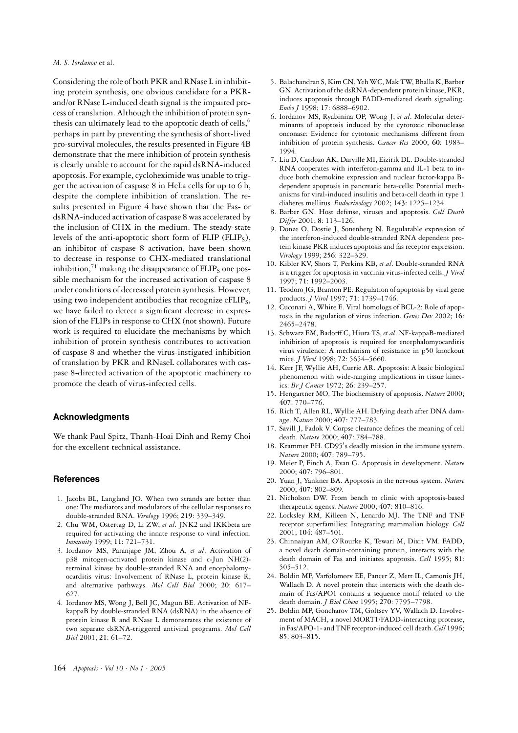Considering the role of both PKR and RNase L in inhibiting protein synthesis, one obvious candidate for a PKRand/or RNase L-induced death signal is the impaired process of translation. Although the inhibition of protein synthesis can ultimately lead to the apoptotic death of cells,  $6$ perhaps in part by preventing the synthesis of short-lived pro-survival molecules, the results presented in Figure 4B demonstrate that the mere inhibition of protein synthesis is clearly unable to account for the rapid dsRNA-induced apoptosis. For example, cycloheximide was unable to trigger the activation of caspase 8 in HeLa cells for up to 6 h, despite the complete inhibition of translation. The results presented in Figure 4 have shown that the Fas- or dsRNA-induced activation of caspase 8 was accelerated by the inclusion of CHX in the medium. The steady-state levels of the anti-apoptotic short form of FLIP (FLIPs), an inhibitor of caspase 8 activation, have been shown to decrease in response to CHX-mediated translational inhibition,<sup>71</sup> making the disappearance of  $FLIP<sub>S</sub>$  one possible mechanism for the increased activation of caspase 8 under conditions of decreased protein synthesis. However, using two independent antibodies that recognize cFLIP<sub>S</sub>, we have failed to detect a significant decrease in expression of the FLIPs in response to CHX (not shown). Future work is required to elucidate the mechanisms by which inhibition of protein synthesis contributes to activation of caspase 8 and whether the virus-instigated inhibition of translation by PKR and RNaseL collaborates with caspase 8-directed activation of the apoptotic machinery to promote the death of virus-infected cells.

#### **Acknowledgments**

We thank Paul Spitz, Thanh-Hoai Dinh and Remy Choi for the excellent technical assistance.

#### **References**

- 1. Jacobs BL, Langland JO. When two strands are better than one: The mediators and modulators of the cellular responses to double-stranded RNA. *Virology* 1996; **219**: 339–349.
- 2. Chu WM, Ostertag D, Li ZW, *et al*. JNK2 and IKKbeta are required for activating the innate response to viral infection. *Immunity* 1999; **11:** 721–731.
- 3. Iordanov MS, Paranjape JM, Zhou A, *et al*. Activation of p38 mitogen-activated protein kinase and c-Jun NH(2) terminal kinase by double-stranded RNA and encephalomyocarditis virus: Involvement of RNase L, protein kinase R, and alternative pathways. *Mol Cell Biol* 2000; **20**: 617– 627.
- 4. Iordanov MS, Wong J, Bell JC, Magun BE. Activation of NFkappaB by double-stranded RNA (dsRNA) in the absence of protein kinase R and RNase L demonstrates the existence of two separate dsRNA-triggered antiviral programs. *Mol Cell Biol* 2001; **21**: 61–72.
- 5. Balachandran S, Kim CN, Yeh WC, Mak TW, Bhalla K, Barber GN. Activation of the dsRNA-dependent protein kinase, PKR, induces apoptosis through FADD-mediated death signaling. *Embo J* 1998; **17**: 6888–6902.
- 6. Iordanov MS, Ryabinina OP, Wong J, *et al*. Molecular determinants of apoptosis induced by the cytotoxic ribonuclease onconase: Evidence for cytotoxic mechanisms different from inhibition of protein synthesis. *Cancer Res* 2000; **60**: 1983– 1994.
- 7. Liu D, Cardozo AK, Darville MI, Eizirik DL. Double-stranded RNA cooperates with interferon-gamma and IL-1 beta to induce both chemokine expression and nuclear factor-kappa Bdependent apoptosis in pancreatic beta-cells: Potential mechanisms for viral-induced insulitis and beta-cell death in type 1 diabetes mellitus. *Endocrinology* 2002; **143**: 1225–1234.
- 8. Barber GN. Host defense, viruses and apoptosis. *Cell Death Differ* 2001; **8**: 113–126.
- 9. Donze O, Dostie J, Sonenberg N. Regulatable expression of the interferon-induced double-stranded RNA dependent protein kinase PKR induces apoptosis and fas receptor expression. *Virology* 1999; **256**: 322–329.
- 10. Kibler KV, Shors T, Perkins KB, *et al*. Double-stranded RNA is a trigger for apoptosis in vaccinia virus-infected cells. *J Virol* 1997; **71**: 1992–2003.
- 11. Teodoro JG, Branton PE. Regulation of apoptosis by viral gene products. *J Virol* 1997; **71**: 1739–1746.
- 12. Cuconati A, White E. Viral homologs of BCL-2: Role of apoptosis in the regulation of virus infection. *Genes Dev* 2002; **16**: 2465–2478.
- 13. Schwarz EM, Badorff C, Hiura TS, *et al*. NF-kappaB-mediated inhibition of apoptosis is required for encephalomyocarditis virus virulence: A mechanism of resistance in p50 knockout mice. *J Virol* 1998; **72**: 5654–5660.
- 14. Kerr JF, Wyllie AH, Currie AR. Apoptosis: A basic biological phenomenon with wide-ranging implications in tissue kinetics. *Br J Cancer* 1972; **26**: 239–257.
- 15. Hengartner MO. The biochemistry of apoptosis. *Nature* 2000; **407**: 770–776.
- 16. Rich T, Allen RL, Wyllie AH. Defying death after DNA damage. *Nature* 2000; **407**: 777–783.
- 17. Savill J, Fadok V. Corpse clearance defines the meaning of cell death. *Nature* 2000; **407**: 784–788.
- 18. Krammer PH. CD95 s deadly mission in the immune system. *Nature* 2000; **407**: 789–795.
- 19. Meier P, Finch A, Evan G. Apoptosis in development. *Nature* 2000; **407**: 796–801.
- 20. Yuan J, Yankner BA. Apoptosis in the nervous system. *Nature* 2000; **407**: 802–809.
- 21. Nicholson DW. From bench to clinic with apoptosis-based therapeutic agents. *Nature* 2000; **407**: 810–816.
- 22. Locksley RM, Killeen N, Lenardo MJ. The TNF and TNF receptor superfamilies: Integrating mammalian biology. *Cell* 2001; **104**: 487–501.
- 23. Chinnaiyan AM, O'Rourke K, Tewari M, Dixit VM. FADD, a novel death domain-containing protein, interacts with the death domain of Fas and initiates apoptosis. *Cell* 1995; **81**: 505–512.
- 24. Boldin MP, Varfolomeev EE, Pancer Z, Mett IL, Camonis JH, Wallach D. A novel protein that interacts with the death domain of Fas/APO1 contains a sequence motif related to the death domain. *J Biol Chem* 1995; **270**: 7795–7798.
- 25. Boldin MP, Goncharov TM, Goltsev YV, Wallach D. Involvement of MACH, a novel MORT1/FADD-interacting protease, in Fas/APO-1- and TNF receptor-induced cell death.*Cell* 1996; **85**: 803–815.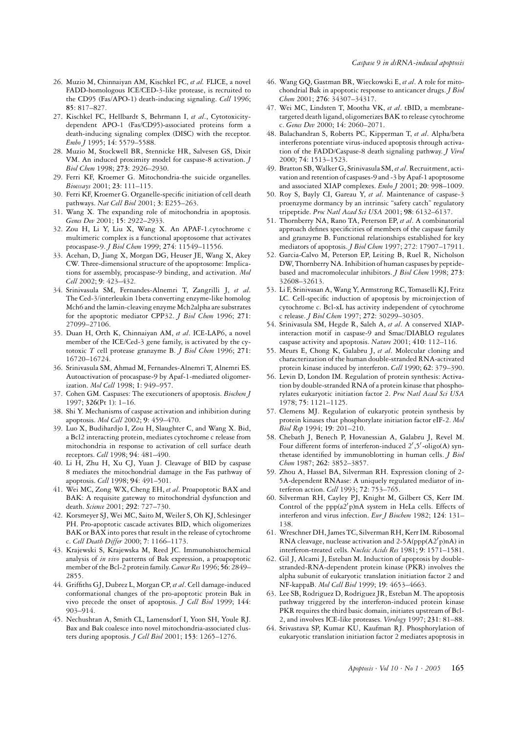- 26. Muzio M, Chinnaiyan AM, Kischkel FC, *et al.* FLICE, a novel FADD-homologous ICE/CED-3-like protease, is recruited to the CD95 (Fas/APO-1) death-inducing signaling. *Cell* 1996; **85**: 817–827.
- 27. Kischkel FC, Hellbardt S, Behrmann I, *et al*., Cytotoxicitydependent APO-1 (Fas/CD95)-associated proteins form a death-inducing signaling complex (DISC) with the receptor. *Embo J* 1995; **14**: 5579–5588.
- 28. Muzio M, Stockwell BR, Stennicke HR, Salvesen GS, Dixit VM. An induced proximity model for caspase-8 activation. *J Biol Chem* 1998; **273**: 2926–2930.
- 29. Ferri KF, Kroemer G. Mitochondria-the suicide organelles. *Bioessays* 2001; **23**: 111–115.
- 30. Ferri KF, Kroemer G. Organelle-specific initiation of cell death pathways. *Nat Cell Biol* 2001; **3**: E255–263.
- 31. Wang X. The expanding role of mitochondria in apoptosis. *Genes Dev* 2001; **15**: 2922–2933.
- 32. Zou H, Li Y, Liu X, Wang X. An APAF-1.cytochrome c multimeric complex is a functional apoptosome that activates procaspase-9. *J Biol Chem* 1999; **274**: 11549–11556.
- 33. Acehan, D, Jiang X, Morgan DG, Heuser JE, Wang X, Akey CW. Three-dimensional structure of the apoptosome: Implications for assembly, procaspase-9 binding, and activation. *Mol Cell* 2002; **9**: 423–432.
- 34. Srinivasula SM, Fernandes-Alnemri T, Zangrilli J, *et al*. The Ced-3/interleukin 1beta converting enzyme-like homolog Mch6 and the lamin-cleaving enzyme Mch2alpha are substrates for the apoptotic mediator CPP32. *J Biol Chem* 1996; **271**: 27099–27106.
- 35. Duan H, Orth K, Chinnaiyan AM, *et al*. ICE-LAP6, a novel member of the ICE/Ced-3 gene family, is activated by the cytotoxic *T* cell protease granzyme B. *J Biol Chem* 1996; **271**: 16720–16724.
- 36. Srinivasula SM, Ahmad M, Fernandes-Alnemri T, Alnemri ES. Autoactivation of procaspase-9 by Apaf-1-mediated oligomerization. *Mol Cell* 1998; **1**: 949–957.
- 37. Cohen GM. Caspases: The executioners of apoptosis. *Biochem J* 1997; **326**(Pt 1): 1–16.
- 38. Shi Y. Mechanisms of caspase activation and inhibition during apoptosis. *Mol Cell* 2002; **9**: 459–470.
- 39. Luo X, Budihardjo I, Zou H, Slaughter C, and Wang X. Bid, a Bcl2 interacting protein, mediates cytochrome c release from mitochondria in response to activation of cell surface death receptors. *Cell* 1998; **94**: 481–490.
- 40. Li H, Zhu H, Xu CJ, Yuan J. Cleavage of BID by caspase 8 mediates the mitochondrial damage in the Fas pathway of apoptosis. *Cell* 1998; **94**: 491–501.
- 41. Wei MC, Zong WX, Cheng EH, *et al*. Proapoptotic BAX and BAK: A requisite gateway to mitochondrial dysfunction and death. *Science* 2001; **292**: 727–730.
- 42. Korsmeyer SJ, Wei MC, Saito M, Weiler S, Oh KJ, Schlesinger PH. Pro-apoptotic cascade activates BID, which oligomerizes BAK or BAX into pores that result in the release of cytochrome c. *Cell Death Differ* 2000; **7**: 1166–1173.
- 43. Krajewski S, Krajewska M, Reed JC. Immunohistochemical analysis of *in vivo* patterns of Bak expression, a proapoptotic member of the Bcl-2 protein family. *Cancer Res* 1996; **56**: 2849– 2855.
- 44. Griffiths GJ, Dubrez L, Morgan CP, *et al*. Cell damage-induced conformational changes of the pro-apoptotic protein Bak in vivo precede the onset of apoptosis. *J Cell Biol* 1999; **144**: 903–914.
- 45. Nechushtan A, Smith CL, Lamensdorf I, Yoon SH, Youle RJ. Bax and Bak coalesce into novel mitochondria-associated clusters during apoptosis. *J Cell Biol* 2001; **153**: 1265–1276.
- 46. Wang GQ, Gastman BR, Wieckowski E, *et al*. A role for mitochondrial Bak in apoptotic response to anticancer drugs. *J Biol Chem* 2001; **276**: 34307–34317.
- 47. Wei MC, Lindsten T, Mootha VK, *et al*. tBID, a membranetargeted death ligand, oligomerizes BAK to release cytochrome c. *Genes Dev* 2000; **14**: 2060–2071.
- 48. Balachandran S, Roberts PC, Kipperman T, *et al*. Alpha/beta interferons potentiate virus-induced apoptosis through activation of the FADD/Caspase-8 death signaling pathway. *J Virol* 2000; **74**: 1513–1523.
- 49. Bratton SB, Walker G, Srinivasula SM, *et al*. Recruitment, activation and retention of caspases-9 and -3 by Apaf-1 apoptosome and associated XIAP complexes. *Embo J* 2001; **20**: 998–1009.
- 50. Roy S, Bayly CI, Gareau Y, *et al*. Maintenance of caspase-3 proenzyme dormancy by an intrinsic "safety catch" regulatory tripeptide. *Proc Natl Acad Sci USA* 2001; **98**: 6132–6137.
- 51. Thornberry NA, Rano TA, Peterson EP, *et al*. A combinatorial approach defines specificities of members of the caspase family and granzyme B. Functional relationships established for key mediators of apoptosis. *J Biol Chem* 1997; 272: 17907–17911.
- 52. Garcia-Calvo M, Peterson EP, Leiting B, Ruel R, Nicholson DW, Thornberry NA. Inhibition of human caspases by peptidebased and macromolecular inhibitors. *J Biol Chem* 1998; **273**: 32608–32613.
- 53. Li F, Srinivasan A, Wang Y, Armstrong RC, Tomaselli KJ, Fritz LC. Cell-specific induction of apoptosis by microinjection of cytochrome c. Bcl-xL has activity independent of cytochrome c release. *J Biol Chem* 1997; **272**: 30299–30305.
- 54. Srinivasula SM, Hegde R, Saleh A, *et al*. A conserved XIAPinteraction motif in caspase-9 and Smac/DIABLO regulates caspase activity and apoptosis. *Nature* 2001; **410**: 112–116.
- 55. Meurs E, Chong K, Galabru J, *et al*. Molecular cloning and characterization of the human double-stranded RNA-activated protein kinase induced by interferon. *Cell* 1990; **62**: 379–390.
- 56. Levin D, London IM. Regulation of protein synthesis: Activation by double-stranded RNA of a protein kinase that phosphorylates eukaryotic initiation factor 2. *Proc Natl Acad Sci USA* 1978; **75**: 1121–1125.
- 57. Clemens MJ. Regulation of eukaryotic protein synthesis by protein kinases that phosphorylate initiation factor eIF-2. *Mol Biol Rep* 1994; **19**: 201–210.
- 58. Chebath J, Benech P, Hovanessian A, Galabru J, Revel M. Four different forms of interferon-induced 2',5'-oligo(A) synthetase identified by immunoblotting in human cells. *J Biol Chem* 1987; **262**: 3852–3857.
- 59. Zhou A, Hassel BA, Silverman RH. Expression cloning of 2- 5A-dependent RNAase: A uniquely regulated mediator of interferon action. *Cell* 1993; **72**: 753–765.
- 60. Silverman RH, Cayley PJ, Knight M, Gilbert CS, Kerr IM. Control of the ppp(a2'p)nA system in HeLa cells. Effects of interferon and virus infection. *Eur J Biochem* 1982; **124**: 131– 138.
- 61. Wreschner DH, James TC, Silverman RH, Kerr IM. Ribosomal RNA cleavage, nuclease activation and 2-5A(ppp(A2 $'$ p)nA) in interferon-treated cells. *Nucleic Acids Res* 1981; **9**: 1571–1581.
- 62. Gil J, Alcami J, Esteban M. Induction of apoptosis by doublestranded-RNA-dependent protein kinase (PKR) involves the alpha subunit of eukaryotic translation initiation factor 2 and NF-kappaB. *Mol Cell Biol* 1999; **19**: 4653–4663.
- 63. Lee SB, Rodriguez D, Rodriguez JR, Esteban M. The apoptosis pathway triggered by the interferon-induced protein kinase PKR requires the third basic domain, initiates upstream of Bcl-2, and involves ICE-like proteases. *Virology* 1997; **231**: 81–88.
- 64. Srivastava SP, Kumar KU, Kaufman RJ. Phosphorylation of eukaryotic translation initiation factor 2 mediates apoptosis in